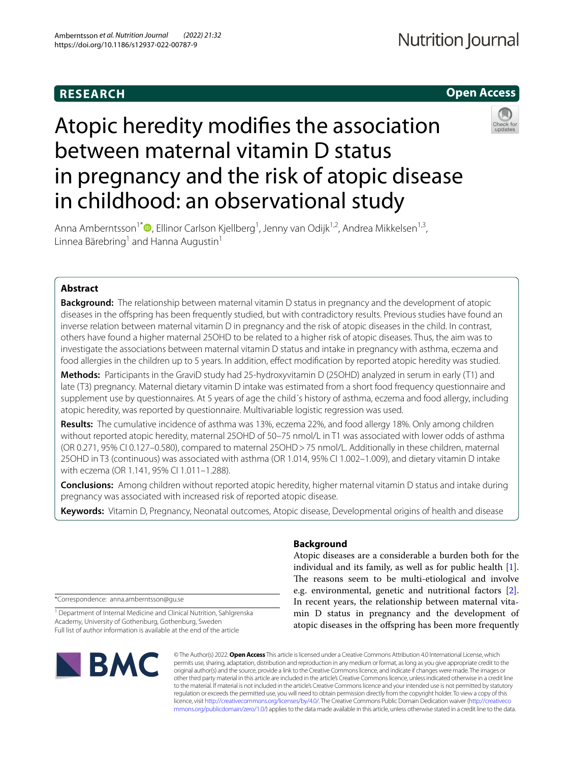# **RESEARCH**

# **Open Access**

# Atopic heredity modifes the association between maternal vitamin D status in pregnancy and the risk of atopic disease in childhood: an observational study

Anna Amberntsson<sup>1[\\*](http://orcid.org/0000-0003-3510-9789)</sup><sup>®</sup>, Ellinor Carlson Kjellberg<sup>1</sup>, Jenny van Odijk<sup>1,2</sup>, Andrea Mikkelsen<sup>1,3</sup>, Linnea Bärebring<sup>1</sup> and Hanna Augustin<sup>1</sup>

# **Abstract**

**Background:** The relationship between maternal vitamin D status in pregnancy and the development of atopic diseases in the ofspring has been frequently studied, but with contradictory results. Previous studies have found an inverse relation between maternal vitamin D in pregnancy and the risk of atopic diseases in the child. In contrast, others have found a higher maternal 25OHD to be related to a higher risk of atopic diseases. Thus, the aim was to investigate the associations between maternal vitamin D status and intake in pregnancy with asthma, eczema and food allergies in the children up to 5 years. In addition, efect modifcation by reported atopic heredity was studied.

**Methods:** Participants in the GraviD study had 25-hydroxyvitamin D (25OHD) analyzed in serum in early (T1) and late (T3) pregnancy. Maternal dietary vitamin D intake was estimated from a short food frequency questionnaire and supplement use by questionnaires. At 5 years of age the child´s history of asthma, eczema and food allergy, including atopic heredity, was reported by questionnaire. Multivariable logistic regression was used.

**Results:** The cumulative incidence of asthma was 13%, eczema 22%, and food allergy 18%. Only among children without reported atopic heredity, maternal 25OHD of 50–75 nmol/L in T1 was associated with lower odds of asthma (OR 0.271, 95% CI 0.127–0.580), compared to maternal 25OHD>75 nmol/L. Additionally in these children, maternal 25OHD in T3 (continuous) was associated with asthma (OR 1.014, 95% CI 1.002–1.009), and dietary vitamin D intake with eczema (OR 1.141, 95% CI 1.011–1.288).

**Conclusions:** Among children without reported atopic heredity, higher maternal vitamin D status and intake during pregnancy was associated with increased risk of reported atopic disease.

**Keywords:** Vitamin D, Pregnancy, Neonatal outcomes, Atopic disease, Developmental origins of health and disease

# **Background**

Atopic diseases are a considerable a burden both for the individual and its family, as well as for public health [\[1](#page-5-0)]. The reasons seem to be multi-etiological and involve e.g. environmental, genetic and nutritional factors [\[2](#page-5-1)]. In recent years, the relationship between maternal vitamin D status in pregnancy and the development of atopic diseases in the ofspring has been more frequently

\*Correspondence: anna.amberntsson@gu.se

<sup>1</sup> Department of Internal Medicine and Clinical Nutrition, Sahlgrenska Academy, University of Gothenburg, Gothenburg, Sweden Full list of author information is available at the end of the article



© The Author(s) 2022. **Open Access** This article is licensed under a Creative Commons Attribution 4.0 International License, which permits use, sharing, adaptation, distribution and reproduction in any medium or format, as long as you give appropriate credit to the original author(s) and the source, provide a link to the Creative Commons licence, and indicate if changes were made. The images or other third party material in this article are included in the article's Creative Commons licence, unless indicated otherwise in a credit line to the material. If material is not included in the article's Creative Commons licence and your intended use is not permitted by statutory regulation or exceeds the permitted use, you will need to obtain permission directly from the copyright holder. To view a copy of this licence, visit [http://creativecommons.org/licenses/by/4.0/.](http://creativecommons.org/licenses/by/4.0/) The Creative Commons Public Domain Dedication waiver ([http://creativeco](http://creativecommons.org/publicdomain/zero/1.0/) [mmons.org/publicdomain/zero/1.0/](http://creativecommons.org/publicdomain/zero/1.0/)) applies to the data made available in this article, unless otherwise stated in a credit line to the data.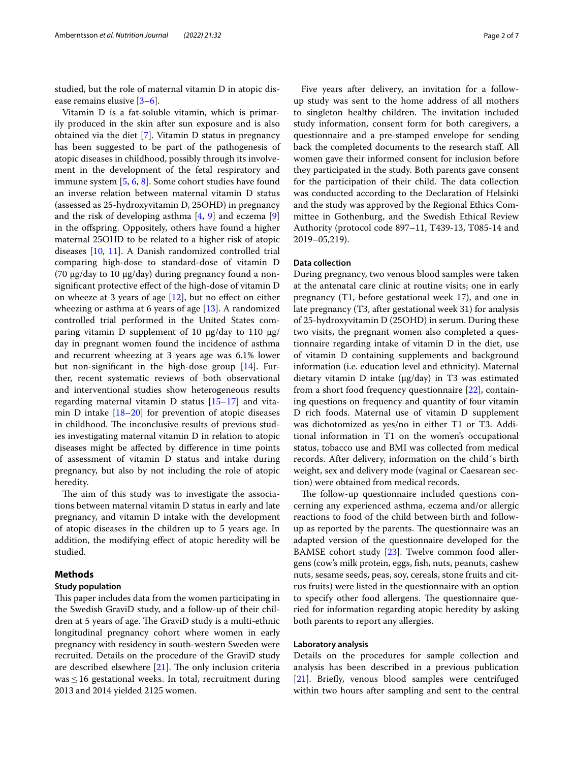studied, but the role of maternal vitamin D in atopic disease remains elusive [[3–](#page-5-2)[6](#page-5-3)].

Vitamin D is a fat-soluble vitamin, which is primarily produced in the skin after sun exposure and is also obtained via the diet [\[7](#page-5-4)]. Vitamin D status in pregnancy has been suggested to be part of the pathogenesis of atopic diseases in childhood, possibly through its involvement in the development of the fetal respiratory and immune system [\[5](#page-5-5), [6,](#page-5-3) [8](#page-5-6)]. Some cohort studies have found an inverse relation between maternal vitamin D status (assessed as 25-hydroxyvitamin D, 25OHD) in pregnancy and the risk of developing asthma  $[4, 9]$  $[4, 9]$  $[4, 9]$  and eczema  $[9]$  $[9]$ in the ofspring. Oppositely, others have found a higher maternal 25OHD to be related to a higher risk of atopic diseases [[10,](#page-5-9) [11](#page-5-10)]. A Danish randomized controlled trial comparing high-dose to standard-dose of vitamin D (70  $\mu$ g/day to 10  $\mu$ g/day) during pregnancy found a nonsignifcant protective efect of the high-dose of vitamin D on wheeze at 3 years of age [\[12](#page-5-11)], but no efect on either wheezing or asthma at 6 years of age [[13\]](#page-6-0). A randomized controlled trial performed in the United States comparing vitamin D supplement of 10  $\mu$ g/day to 110  $\mu$ g/ day in pregnant women found the incidence of asthma and recurrent wheezing at 3 years age was 6.1% lower but non-signifcant in the high-dose group [[14\]](#page-6-1). Further, recent systematic reviews of both observational and interventional studies show heterogeneous results regarding maternal vitamin D status  $[15-17]$  $[15-17]$  and vitamin D intake [\[18–](#page-6-4)[20\]](#page-6-5) for prevention of atopic diseases in childhood. The inconclusive results of previous studies investigating maternal vitamin D in relation to atopic diseases might be afected by diference in time points of assessment of vitamin D status and intake during pregnancy, but also by not including the role of atopic heredity.

The aim of this study was to investigate the associations between maternal vitamin D status in early and late pregnancy, and vitamin D intake with the development of atopic diseases in the children up to 5 years age. In addition, the modifying efect of atopic heredity will be studied.

#### **Methods**

#### **Study population**

This paper includes data from the women participating in the Swedish GraviD study, and a follow-up of their children at 5 years of age. The GraviD study is a multi-ethnic longitudinal pregnancy cohort where women in early pregnancy with residency in south-western Sweden were recruited. Details on the procedure of the GraviD study are described elsewhere  $[21]$  $[21]$ . The only inclusion criteria was  $\leq$  16 gestational weeks. In total, recruitment during 2013 and 2014 yielded 2125 women.

Five years after delivery, an invitation for a followup study was sent to the home address of all mothers to singleton healthy children. The invitation included study information, consent form for both caregivers, a questionnaire and a pre-stamped envelope for sending back the completed documents to the research staf. All women gave their informed consent for inclusion before they participated in the study. Both parents gave consent for the participation of their child. The data collection was conducted according to the Declaration of Helsinki and the study was approved by the Regional Ethics Committee in Gothenburg, and the Swedish Ethical Review Authority (protocol code 897–11, T439-13, T085-14 and 2019–05,219).

#### **Data collection**

During pregnancy, two venous blood samples were taken at the antenatal care clinic at routine visits; one in early pregnancy (T1, before gestational week 17), and one in late pregnancy (T3, after gestational week 31) for analysis of 25-hydroxyvitamin D (25OHD) in serum. During these two visits, the pregnant women also completed a questionnaire regarding intake of vitamin D in the diet, use of vitamin D containing supplements and background information (i.e. education level and ethnicity). Maternal dietary vitamin D intake (µg/day) in T3 was estimated from a short food frequency questionnaire [\[22](#page-6-7)], containing questions on frequency and quantity of four vitamin D rich foods. Maternal use of vitamin D supplement was dichotomized as yes/no in either T1 or T3. Additional information in T1 on the women's occupational status, tobacco use and BMI was collected from medical records. After delivery, information on the child´s birth weight, sex and delivery mode (vaginal or Caesarean section) were obtained from medical records.

The follow-up questionnaire included questions concerning any experienced asthma, eczema and/or allergic reactions to food of the child between birth and followup as reported by the parents. The questionnaire was an adapted version of the questionnaire developed for the BAMSE cohort study [\[23](#page-6-8)]. Twelve common food allergens (cow's milk protein, eggs, fsh, nuts, peanuts, cashew nuts, sesame seeds, peas, soy, cereals, stone fruits and citrus fruits) were listed in the questionnaire with an option to specify other food allergens. The questionnaire queried for information regarding atopic heredity by asking both parents to report any allergies.

#### **Laboratory analysis**

Details on the procedures for sample collection and analysis has been described in a previous publication [[21\]](#page-6-6). Briefy, venous blood samples were centrifuged within two hours after sampling and sent to the central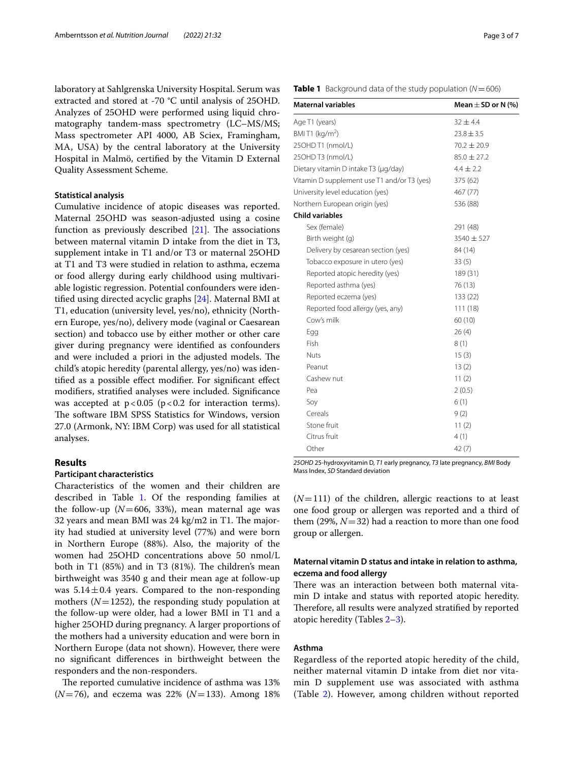laboratory at Sahlgrenska University Hospital. Serum was extracted and stored at -70 °C until analysis of 25OHD. Analyzes of 25OHD were performed using liquid chromatography tandem-mass spectrometry (LC–MS/MS; Mass spectrometer API 4000, AB Sciex, Framingham, MA, USA) by the central laboratory at the University Hospital in Malmö, certifed by the Vitamin D External Quality Assessment Scheme.

#### **Statistical analysis**

Cumulative incidence of atopic diseases was reported. Maternal 25OHD was season-adjusted using a cosine function as previously described  $[21]$ . The associations between maternal vitamin D intake from the diet in T3, supplement intake in T1 and/or T3 or maternal 25OHD at T1 and T3 were studied in relation to asthma, eczema or food allergy during early childhood using multivariable logistic regression. Potential confounders were identifed using directed acyclic graphs [\[24](#page-6-9)]. Maternal BMI at T1, education (university level, yes/no), ethnicity (Northern Europe, yes/no), delivery mode (vaginal or Caesarean section) and tobacco use by either mother or other care giver during pregnancy were identifed as confounders and were included a priori in the adjusted models. The child's atopic heredity (parental allergy, yes/no) was identifed as a possible efect modifer. For signifcant efect modifers, stratifed analyses were included. Signifcance was accepted at  $p < 0.05$  ( $p < 0.2$  for interaction terms). The software IBM SPSS Statistics for Windows, version 27.0 (Armonk, NY: IBM Corp) was used for all statistical analyses.

#### **Results**

#### **Participant characteristics**

Characteristics of the women and their children are described in Table [1](#page-2-0). Of the responding families at the follow-up ( $N=606$ , 33%), mean maternal age was 32 years and mean BMI was  $24 \text{ kg/m2}$  in T1. The majority had studied at university level (77%) and were born in Northern Europe (88%). Also, the majority of the women had 25OHD concentrations above 50 nmol/L both in T1 (85%) and in T3 (81%). The children's mean birthweight was 3540 g and their mean age at follow-up was  $5.14 \pm 0.4$  years. Compared to the non-responding mothers (*N*=1252), the responding study population at the follow-up were older, had a lower BMI in T1 and a higher 25OHD during pregnancy. A larger proportions of the mothers had a university education and were born in Northern Europe (data not shown). However, there were no signifcant diferences in birthweight between the responders and the non-responders.

The reported cumulative incidence of asthma was 13% (*N*=76), and eczema was 22% (*N*=133). Among 18% <span id="page-2-0"></span>**Table 1** Background data of the study population (*N*=606)

| <b>Maternal variables</b>                   | Mean $\pm$ SD or N (%) |  |  |  |
|---------------------------------------------|------------------------|--|--|--|
| Age T1 (years)                              | $32 \pm 4.4$           |  |  |  |
| BMIT1 (kg/m <sup>2</sup> )                  | $23.8 \pm 3.5$         |  |  |  |
| 25OHD T1 (nmol/L)                           | $70.2 \pm 20.9$        |  |  |  |
| 25OHD T3 (nmol/L)                           | $85.0 \pm 27.2$        |  |  |  |
| Dietary vitamin D intake T3 (µg/day)        | $4.4 \pm 2.2$          |  |  |  |
| Vitamin D supplement use T1 and/or T3 (yes) | 375 (62)               |  |  |  |
| University level education (yes)            | 467 (77)               |  |  |  |
| Northern European origin (yes)              | 536 (88)               |  |  |  |
| <b>Child variables</b>                      |                        |  |  |  |
| Sex (female)                                | 291 (48)               |  |  |  |
| Birth weight (g)                            | $3540 \pm 527$         |  |  |  |
| Delivery by cesarean section (yes)          | 84 (14)                |  |  |  |
| Tobacco exposure in utero (yes)             | 33(5)                  |  |  |  |
| Reported atopic heredity (yes)              | 189 (31)               |  |  |  |
| Reported asthma (yes)                       | 76 (13)                |  |  |  |
| Reported eczema (yes)                       | 133 (22)               |  |  |  |
| Reported food allergy (yes, any)            | 111(18)                |  |  |  |
| Cow's milk                                  | 60(10)                 |  |  |  |
| Egg                                         | 26(4)                  |  |  |  |
| Fish                                        | 8(1)                   |  |  |  |
| <b>Nuts</b>                                 | 15(3)                  |  |  |  |
| Peanut                                      | 13(2)                  |  |  |  |
| Cashew nut                                  | 11(2)                  |  |  |  |
| Pea                                         | 2(0.5)                 |  |  |  |
| Soy                                         | 6(1)                   |  |  |  |
| Cereals                                     | 9(2)                   |  |  |  |
| Stone fruit                                 | 11(2)                  |  |  |  |
| Citrus fruit                                | 4(1)                   |  |  |  |
| Other                                       | 42(7)                  |  |  |  |

*25OHD* 25-hydroxyvitamin D, *T1* early pregnancy, *T3* late pregnancy, *BMI* Body Mass Index, *SD* Standard deviation

(*N*=111) of the children, allergic reactions to at least one food group or allergen was reported and a third of them (29%, *N*=32) had a reaction to more than one food group or allergen.

## **Maternal vitamin D status and intake in relation to asthma, eczema and food allergy**

There was an interaction between both maternal vitamin D intake and status with reported atopic heredity. Therefore, all results were analyzed stratified by reported atopic heredity (Tables [2–](#page-3-0)[3\)](#page-3-1).

#### **Asthma**

Regardless of the reported atopic heredity of the child, neither maternal vitamin D intake from diet nor vitamin D supplement use was associated with asthma (Table [2](#page-3-0)). However, among children without reported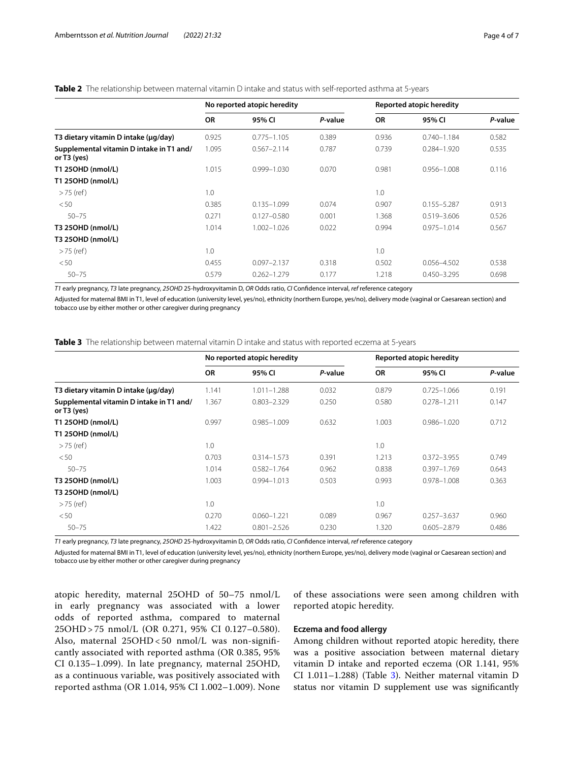### <span id="page-3-0"></span>**Table 2** The relationship between maternal vitamin D intake and status with self-reported asthma at 5-years

|                                                         | No reported atopic heredity |                 |         | <b>Reported atopic heredity</b> |                 |         |
|---------------------------------------------------------|-----------------------------|-----------------|---------|---------------------------------|-----------------|---------|
|                                                         | <b>OR</b>                   | 95% CI          | P-value | <b>OR</b>                       | 95% CI          | P-value |
| T3 dietary vitamin D intake (µg/day)                    | 0.925                       | $0.775 - 1.105$ | 0.389   | 0.936                           | $0.740 - 1.184$ | 0.582   |
| Supplemental vitamin D intake in T1 and/<br>or T3 (yes) | 1.095                       | $0.567 - 2.114$ | 0.787   | 0.739                           | 0.284-1.920     | 0.535   |
| T1 250HD (nmol/L)                                       | 1.015                       | 0.999-1.030     | 0.070   | 0.981                           | $0.956 - 1.008$ | 0.116   |
| T1 250HD (nmol/L)                                       |                             |                 |         |                                 |                 |         |
| $>75$ (ref)                                             | 1.0                         |                 |         | 1.0                             |                 |         |
| < 50                                                    | 0.385                       | $0.135 - 1.099$ | 0.074   | 0.907                           | $0.155 - 5.287$ | 0.913   |
| $50 - 75$                                               | 0.271                       | $0.127 - 0.580$ | 0.001   | 1.368                           | $0.519 - 3.606$ | 0.526   |
| T3 250HD (nmol/L)                                       | 1.014                       | $1.002 - 1.026$ | 0.022   | 0.994                           | $0.975 - 1.014$ | 0.567   |
| T3 250HD (nmol/L)                                       |                             |                 |         |                                 |                 |         |
| $>75$ (ref)                                             | 1.0                         |                 |         | 1.0                             |                 |         |
| < 50                                                    | 0.455                       | $0.097 - 2.137$ | 0.318   | 0.502                           | 0.056-4.502     | 0.538   |
| $50 - 75$                                               | 0.579                       | $0.262 - 1.279$ | 0.177   | 1.218                           | $0.450 - 3.295$ | 0.698   |

*T1* early pregnancy, *T3* late pregnancy, *25OHD* 25-hydroxyvitamin D, *OR* Odds ratio, *CI* Confdence interval, *ref* reference category

Adjusted for maternal BMI in T1, level of education (university level, yes/no), ethnicity (northern Europe, yes/no), delivery mode (vaginal or Caesarean section) and tobacco use by either mother or other caregiver during pregnancy

<span id="page-3-1"></span>**Table 3** The relationship between maternal vitamin D intake and status with reported eczema at 5-years

|                                                         | No reported atopic heredity |                 |         | <b>Reported atopic heredity</b> |                 |         |
|---------------------------------------------------------|-----------------------------|-----------------|---------|---------------------------------|-----------------|---------|
|                                                         | <b>OR</b>                   | 95% CI          | P-value | <b>OR</b>                       | 95% CI          | P-value |
| T3 dietary vitamin D intake (µg/day)                    | 1.141                       | $1.011 - 1.288$ | 0.032   | 0.879                           | $0.725 - 1.066$ | 0.191   |
| Supplemental vitamin D intake in T1 and/<br>or T3 (yes) | 1.367                       | $0.803 - 2.329$ | 0.250   | 0.580                           | $0.278 - 1.211$ | 0.147   |
| T1 250HD (nmol/L)                                       | 0.997                       | $0.985 - 1.009$ | 0.632   | 1.003                           | $0.986 - 1.020$ | 0.712   |
| T1 250HD (nmol/L)                                       |                             |                 |         |                                 |                 |         |
| $>75$ (ref)                                             | 1.0                         |                 |         | 1.0                             |                 |         |
| < 50                                                    | 0.703                       | $0.314 - 1.573$ | 0.391   | 1.213                           | $0.372 - 3.955$ | 0.749   |
| $50 - 75$                                               | 1.014                       | $0.582 - 1.764$ | 0.962   | 0.838                           | $0.397 - 1.769$ | 0.643   |
| T3 250HD (nmol/L)                                       | 1.003                       | $0.994 - 1.013$ | 0.503   | 0.993                           | $0.978 - 1.008$ | 0.363   |
| T3 250HD (nmol/L)                                       |                             |                 |         |                                 |                 |         |
| $>75$ (ref)                                             | 1.0                         |                 |         | 1.0                             |                 |         |
| < 50                                                    | 0.270                       | $0.060 - 1.221$ | 0.089   | 0.967                           | $0.257 - 3.637$ | 0.960   |
| $50 - 75$                                               | 1.422                       | $0.801 - 2.526$ | 0.230   | 1.320                           | $0.605 - 2.879$ | 0.486   |

*T1* early pregnancy, *T3* late pregnancy, *25OHD* 25-hydroxyvitamin D, *OR* Odds ratio, *CI* Confdence interval, *ref* reference category

Adjusted for maternal BMI in T1, level of education (university level, yes/no), ethnicity (northern Europe, yes/no), delivery mode (vaginal or Caesarean section) and tobacco use by either mother or other caregiver during pregnancy

atopic heredity, maternal 25OHD of 50–75 nmol/L in early pregnancy was associated with a lower odds of reported asthma, compared to maternal 25OHD > 75 nmol/L (OR 0.271, 95% CI 0.127–0.580). Also, maternal 25OHD < 50 nmol/L was non-signifcantly associated with reported asthma (OR 0.385, 95% CI 0.135–1.099). In late pregnancy, maternal 25OHD, as a continuous variable, was positively associated with reported asthma (OR 1.014, 95% CI 1.002–1.009). None

of these associations were seen among children with reported atopic heredity.

#### **Eczema and food allergy**

Among children without reported atopic heredity, there was a positive association between maternal dietary vitamin D intake and reported eczema (OR 1.141, 95% CI 1.011–1.288) (Table  $3$ ). Neither maternal vitamin D status nor vitamin D supplement use was signifcantly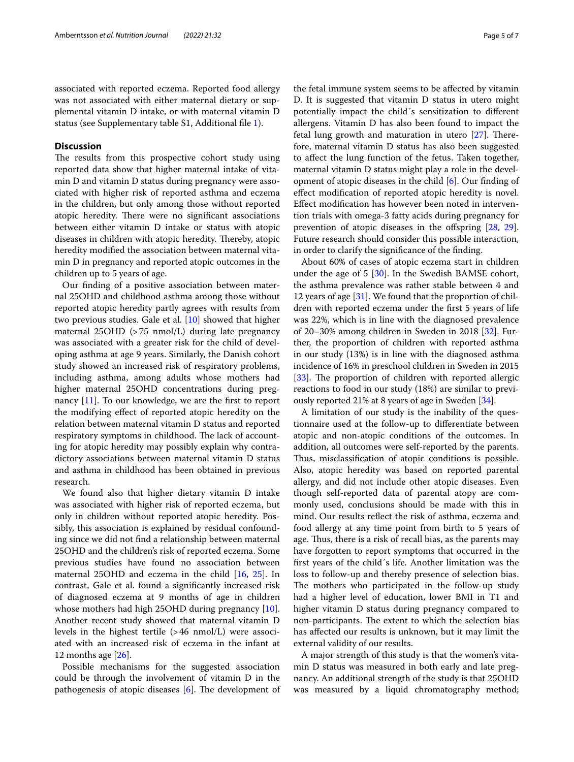associated with reported eczema. Reported food allergy was not associated with either maternal dietary or supplemental vitamin D intake, or with maternal vitamin D status (see Supplementary table S1, Additional fle [1\)](#page-5-12).

#### **Discussion**

The results from this prospective cohort study using reported data show that higher maternal intake of vitamin D and vitamin D status during pregnancy were associated with higher risk of reported asthma and eczema in the children, but only among those without reported atopic heredity. There were no significant associations between either vitamin D intake or status with atopic diseases in children with atopic heredity. Thereby, atopic heredity modifed the association between maternal vitamin D in pregnancy and reported atopic outcomes in the children up to 5 years of age.

Our fnding of a positive association between maternal 25OHD and childhood asthma among those without reported atopic heredity partly agrees with results from two previous studies. Gale et al. [[10\]](#page-5-9) showed that higher maternal 25OHD (>75 nmol/L) during late pregnancy was associated with a greater risk for the child of developing asthma at age 9 years. Similarly, the Danish cohort study showed an increased risk of respiratory problems, including asthma, among adults whose mothers had higher maternal 25OHD concentrations during pregnancy [[11](#page-5-10)]. To our knowledge, we are the frst to report the modifying efect of reported atopic heredity on the relation between maternal vitamin D status and reported respiratory symptoms in childhood. The lack of accounting for atopic heredity may possibly explain why contradictory associations between maternal vitamin D status and asthma in childhood has been obtained in previous research.

We found also that higher dietary vitamin D intake was associated with higher risk of reported eczema, but only in children without reported atopic heredity. Possibly, this association is explained by residual confounding since we did not fnd a relationship between maternal 25OHD and the children's risk of reported eczema. Some previous studies have found no association between maternal 25OHD and eczema in the child [[16,](#page-6-10) [25](#page-6-11)]. In contrast, Gale et al. found a signifcantly increased risk of diagnosed eczema at 9 months of age in children whose mothers had high 25OHD during pregnancy [\[10](#page-5-9)]. Another recent study showed that maternal vitamin D levels in the highest tertile  $(>46 \text{ nmol/L})$  were associated with an increased risk of eczema in the infant at 12 months age  $[26]$  $[26]$ .

Possible mechanisms for the suggested association could be through the involvement of vitamin D in the pathogenesis of atopic diseases  $[6]$ . The development of the fetal immune system seems to be afected by vitamin D. It is suggested that vitamin D status in utero might potentially impact the child´s sensitization to diferent allergens. Vitamin D has also been found to impact the fetal lung growth and maturation in utero  $[27]$ . Therefore, maternal vitamin D status has also been suggested to afect the lung function of the fetus. Taken together, maternal vitamin D status might play a role in the development of atopic diseases in the child [\[6](#page-5-3)]. Our fnding of efect modifcation of reported atopic heredity is novel. Efect modifcation has however been noted in intervention trials with omega-3 fatty acids during pregnancy for prevention of atopic diseases in the offspring [[28,](#page-6-14) [29](#page-6-15)]. Future research should consider this possible interaction, in order to clarify the signifcance of the fnding.

About 60% of cases of atopic eczema start in children under the age of 5 [[30\]](#page-6-16). In the Swedish BAMSE cohort, the asthma prevalence was rather stable between 4 and 12 years of age [\[31](#page-6-17)]. We found that the proportion of children with reported eczema under the frst 5 years of life was 22%, which is in line with the diagnosed prevalence of 20–30% among children in Sweden in 2018 [[32\]](#page-6-18). Further, the proportion of children with reported asthma in our study (13%) is in line with the diagnosed asthma incidence of 16% in preschool children in Sweden in 2015 [[33\]](#page-6-19). The proportion of children with reported allergic reactions to food in our study (18%) are similar to previously reported 21% at 8 years of age in Sweden [[34](#page-6-20)].

A limitation of our study is the inability of the questionnaire used at the follow-up to diferentiate between atopic and non-atopic conditions of the outcomes. In addition, all outcomes were self-reported by the parents. Thus, misclassification of atopic conditions is possible. Also, atopic heredity was based on reported parental allergy, and did not include other atopic diseases. Even though self-reported data of parental atopy are commonly used, conclusions should be made with this in mind. Our results refect the risk of asthma, eczema and food allergy at any time point from birth to 5 years of age. Thus, there is a risk of recall bias, as the parents may have forgotten to report symptoms that occurred in the frst years of the child´s life. Another limitation was the loss to follow-up and thereby presence of selection bias. The mothers who participated in the follow-up study had a higher level of education, lower BMI in T1 and higher vitamin D status during pregnancy compared to non-participants. The extent to which the selection bias has afected our results is unknown, but it may limit the external validity of our results.

A major strength of this study is that the women's vitamin D status was measured in both early and late pregnancy. An additional strength of the study is that 25OHD was measured by a liquid chromatography method;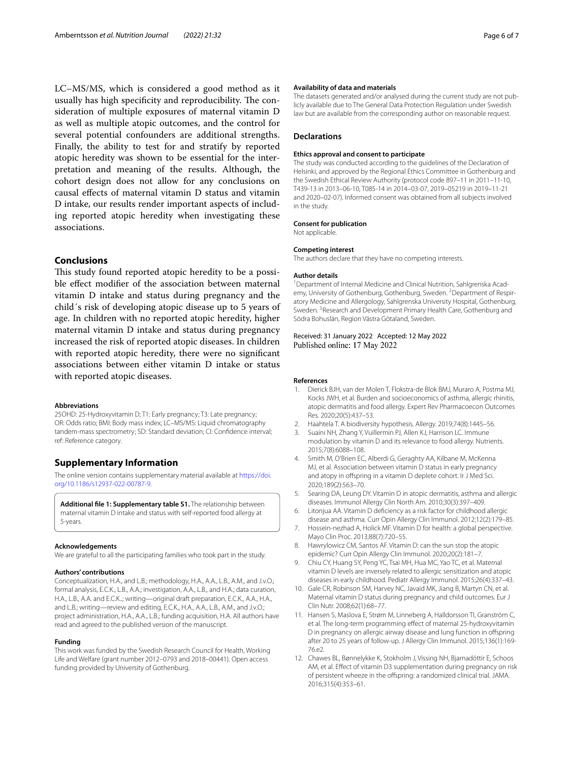LC–MS/MS, which is considered a good method as it usually has high specificity and reproducibility. The consideration of multiple exposures of maternal vitamin D as well as multiple atopic outcomes, and the control for several potential confounders are additional strengths. Finally, the ability to test for and stratify by reported atopic heredity was shown to be essential for the interpretation and meaning of the results. Although, the cohort design does not allow for any conclusions on causal efects of maternal vitamin D status and vitamin D intake, our results render important aspects of including reported atopic heredity when investigating these associations.

#### **Conclusions**

This study found reported atopic heredity to be a possible efect modifer of the association between maternal vitamin D intake and status during pregnancy and the child´s risk of developing atopic disease up to 5 years of age. In children with no reported atopic heredity, higher maternal vitamin D intake and status during pregnancy increased the risk of reported atopic diseases. In children with reported atopic heredity, there were no signifcant associations between either vitamin D intake or status with reported atopic diseases.

#### **Abbreviations**

25OHD: 25-Hydroxyvitamin D; T1: Early pregnancy; T3: Late pregnancy; OR: Odds ratio; BMI: Body mass index; LC–MS/MS: Liquid chromatography tandem-mass spectrometry; SD: Standard deviation; CI: Confdence interval; ref: Reference category.

#### **Supplementary Information**

The online version contains supplementary material available at [https://doi.](https://doi.org/10.1186/s12937-022-00787-9) [org/10.1186/s12937-022-00787-9](https://doi.org/10.1186/s12937-022-00787-9).

<span id="page-5-12"></span>**Additional fle 1: Supplementary table S1.** The relationship between maternal vitamin D intake and status with self-reported food allergy at 5-years.

#### **Acknowledgements**

We are grateful to all the participating families who took part in the study.

#### **Authors' contributions**

Conceptualization, H.A., and L.B.; methodology, H.A., A.A., L.B., A.M., and J.v.O.; formal analysis, E.C.K., L.B., A.A.; investigation, A.A., L.B., and H.A.; data curation, H.A., L.B., A.A. and E.C.K..; writing—original draft preparation, E.C.K., A.A., H.A., and L.B.; writing—review and editing, E.C.K., H.A., A.A., L.B., A.M., and J.v.O.; project administration, H.A., A.A., L.B.; funding acquisition, H.A. All authors have read and agreed to the published version of the manuscript.

#### **Funding**

This work was funded by the Swedish Research Council for Health, Working Life and Welfare (grant number 2012–0793 and 2018–00441). Open access funding provided by University of Gothenburg.

#### **Availability of data and materials**

The datasets generated and/or analysed during the current study are not publicly available due to The General Data Protection Regulation under Swedish law but are available from the corresponding author on reasonable request.

#### **Declarations**

#### **Ethics approval and consent to participate**

The study was conducted according to the guidelines of the Declaration of Helsinki, and approved by the Regional Ethics Committee in Gothenburg and the Swedish Ethical Review Authority (protocol code 897–11 in 2011–11-10, T439-13 in 2013–06-10, T085-14 in 2014–03-07, 2019–05219 in 2019–11-21 and 2020–02-07). Informed consent was obtained from all subjects involved in the study.

#### **Consent for publication**

Not applicable.

#### **Competing interest**

The authors declare that they have no competing interests.

#### **Author details**

<sup>1</sup> Department of Internal Medicine and Clinical Nutrition, Sahlgrenska Academy, University of Gothenburg, Gothenburg, Sweden. <sup>2</sup> Department of Respiratory Medicine and Allergology, Sahlgrenska University Hospital, Gothenburg, Sweden. <sup>3</sup> Research and Development Primary Health Care, Gothenburg and Södra Bohuslän, Region Västra Götaland, Sweden.

#### Received: 31 January 2022 Accepted: 12 May 2022 Published online: 17 May 2022

#### **References**

- <span id="page-5-0"></span>1. Dierick BJH, van der Molen T, Flokstra-de Blok BMJ, Muraro A, Postma MJ, Kocks JWH, et al. Burden and socioeconomics of asthma, allergic rhinitis, atopic dermatitis and food allergy. Expert Rev Pharmacoecon Outcomes Res. 2020;20(5):437–53.
- <span id="page-5-1"></span>2. Haahtela T. A biodiversity hypothesis. Allergy. 2019;74(8):1445–56.
- <span id="page-5-2"></span>3. Suaini NH, Zhang Y, Vuillermin PJ, Allen KJ, Harrison LC. Immune modulation by vitamin D and its relevance to food allergy. Nutrients. 2015;7(8):6088–108.
- <span id="page-5-7"></span>4. Smith M, O'Brien EC, Alberdi G, Geraghty AA, Kilbane M, McKenna MJ, et al. Association between vitamin D status in early pregnancy and atopy in ofspring in a vitamin D deplete cohort. Ir J Med Sci. 2020;189(2):563–70.
- <span id="page-5-5"></span>5. Searing DA, Leung DY. Vitamin D in atopic dermatitis, asthma and allergic diseases. Immunol Allergy Clin North Am. 2010;30(3):397–409.
- <span id="page-5-3"></span>6. Litonjua AA. Vitamin D defciency as a risk factor for childhood allergic disease and asthma. Curr Opin Allergy Clin Immunol. 2012;12(2):179–85.
- <span id="page-5-4"></span>7. Hossein-nezhad A, Holick MF. Vitamin D for health: a global perspective. Mayo Clin Proc. 2013;88(7):720–55.
- <span id="page-5-6"></span>8. Hawrylowicz CM, Santos AF. Vitamin D: can the sun stop the atopic epidemic? Curr Opin Allergy Clin Immunol. 2020;20(2):181–7.
- <span id="page-5-8"></span>9. Chiu CY, Huang SY, Peng YC, Tsai MH, Hua MC, Yao TC, et al. Maternal vitamin D levels are inversely related to allergic sensitization and atopic diseases in early childhood. Pediatr Allergy Immunol. 2015;26(4):337–43.
- <span id="page-5-9"></span>10. Gale CR, Robinson SM, Harvey NC, Javaid MK, Jiang B, Martyn CN, et al. Maternal vitamin D status during pregnancy and child outcomes. Eur J Clin Nutr. 2008;62(1):68–77.
- <span id="page-5-10"></span>11. Hansen S, Maslova E, Strøm M, Linneberg A, Halldorsson TI, Granström C, et al. The long-term programming efect of maternal 25-hydroxyvitamin D in pregnancy on allergic airway disease and lung function in ofspring after 20 to 25 years of follow-up. J Allergy Clin Immunol. 2015;136(1):169- 76.e2.
- <span id="page-5-11"></span>12. Chawes BL, Bønnelykke K, Stokholm J, Vissing NH, Bjarnadóttir E, Schoos AM, et al. Efect of vitamin D3 supplementation during pregnancy on risk of persistent wheeze in the ofspring: a randomized clinical trial. JAMA. 2016;315(4):353–61.